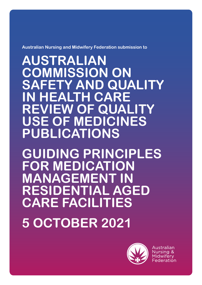

**AUSTRALIAN COMMISSION ON SAFETY AND QUALITY IN HEALTH CARE REVIEW OF QUALITY USE OF MEDICINES PUBLICATIONS**

**GUIDING PRINCIPLES FOR MEDICATION MANAGEMENT IN RESIDENTIAL AGED CARE FACILITIES**

**5 OCTOBER 2021**



Australian Nursing & Midwiferv Federation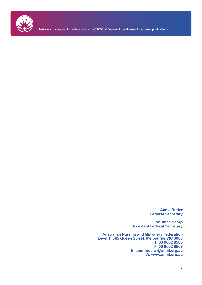

Australian Nursing and Midwifery Federation / **ACSQHC Review of quality use of medicines publications**

**Annie Butler Federal Secretary**

**Lori-anne Sharp Assistant Federal Secretary**

**Australian Nursing and Midwifery Federation Level 1, 365 Queen Street, Melbourne VIC 3000 T: 03 9602 8500 F: 03 9602 8567 E: anmffederal@anmf.org.au W: www.anmf.org.au**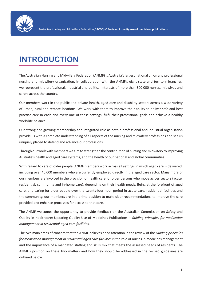

# **INTRODUCTION**

The Australian Nursing and Midwifery Federation (ANMF) is Australia's largest national union and professional nursing and midwifery organisation. In collaboration with the ANMF's eight state and territory branches, we represent the professional, industrial and political interests of more than 300,000 nurses, midwives and carers across the country.

Our members work in the public and private health, aged care and disability sectors across a wide variety of urban, rural and remote locations. We work with them to improve their ability to deliver safe and best practice care in each and every one of these settings, fulfil their professional goals and achieve a healthy work/life balance.

Our strong and growing membership and integrated role as both a professional and industrial organisation provide us with a complete understanding of all aspects of the nursing and midwifery professions and see us uniquely placed to defend and advance our professions.

Through our work with members we aim to strengthen the contribution of nursing and midwifery to improving Australia's health and aged care systems, and the health of our national and global communities.

With regard to care of older people, ANMF members work across all settings in which aged care is delivered, including over 40,000 members who are currently employed directly in the aged care sector. Many more of our members are involved in the provision of health care for older persons who move across sectors (acute, residential, community and in-home care), depending on their health needs. Being at the forefront of aged care, and caring for older people over the twenty-four hour period in acute care, residential facilities and the community, our members are in a prime position to make clear recommendations to improve the care provided and enhance processes for access to that care.

The ANMF welcomes the opportunity to provide feedback on the Australian Commission on Safety and Quality in Healthcare: Updating Quality Use of Medicines Publications – *Guiding principles for medication management in residential aged care facilities*.

The two main areas of concern that the ANMF believes need attention in the review of the *Guiding principles for medication management in residential aged care facilities* is the role of nurses in medicines management and the importance of a mandated staffing and skills mix that meets the assessed needs of residents. The ANMF's position on these two matters and how they should be addressed in the revised guidelines are outlined below.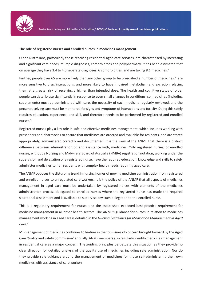

#### **The role of registered nurses and enrolled nurses in medicines management**

Older Australians, particularly those receiving residential aged care services, are characterised by increasing and significant care needs, multiple diagnoses, comorbidities and polypharmacy. It has been estimated that on average they have 3.4 to 4.5 separate diagnoses, 6 comorbidities, and are taking 8.1 medicines.<sup>1</sup>

Further, people over 65 are more likely than any other group to be prescribed a number of medicines,<sup>2</sup> are more sensitive to drug interactions, and more likely to have impaired metabolism and excretion, placing them at a greater risk of receiving a higher than intended dose. The health and cognitive status of older people can deteriorate significantly in response to even small changes in conditions, so medicines (including supplements) must be administered with care, the necessity of each medicine regularly reviewed, and the person receiving care must be monitored for signs and symptoms of interactions and toxicity. Doing this safely requires education, experience, and skill, and therefore needs to be performed by registered and enrolled nurses.3

Registered nurses play a key role in safe and effective medicines management, which includes working with prescribers and pharmacies to ensure that medicines are ordered and available for residents, and are stored appropriately, administered correctly and documented. It is the view of the ANMF that there is a distinct difference between administration of, and assistance with, medicines. Only registered nurses, or enrolled nurses, without a Nursing and Midwifery Board of Australia (NMBA) registration notation, working under the supervision and delegation of a registered nurse, have the required education, knowledge and skills to safely administer medicines to frail residents with complex health needs requiring aged care.

The ANMF opposes the disturbing trend in nursing homes of moving medicine administration from registered and enrolled nurses to unregulated care workers. It is the policy of the ANMF that all aspects of medicines management in aged care must be undertaken by registered nurses with elements of the medicines administration process delegated to enrolled nurses where the registered nurse has made the required situational assessment and is available to supervise any such delegation to the enrolled nurse.

This is a regulatory requirement for nurses and the established expected best practice requirement for medicine management in all other health sectors. The ANMF's guidance for nurses in relation to medicines management working in aged care is detailed in the *Nursing Guidelines for Medication Management in Aged Care*. 4

Mismanagement of medicines continues to feature in the top issues of concern brought forward by the Aged Care Quality and Safety Commission<sup>5</sup> annually. ANMF members also regularly identify medicines management in residential care as a major concern. The guiding principles perpetuate this situation as they provide no clear direction for detailed analysis of the quality use of medicines including safe administration. Nor do they provide safe guidance around the management of medicines for those self-administering their own medicines with assistance of care workers.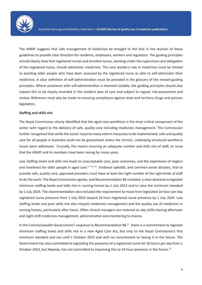

The ANMF suggests that safe management of medicines be brought to the fore in the revision of these guidelines to provide clear direction for residents, employers, workers and regulators. The guiding principles should clearly state that registered nurses and enrolled nurses, working under the supervision and delegation of the registered nurse, should administer medicines. The care worker's role in medicines must be limited to assisting older people who have been assessed by the registered nurse as able to self-administer their medicines. A clear definition of self-administration must be provided in the glossary of the revised guiding principles. Where assistance with self-administration is deemed suitable, the guiding principles should also require this to be clearly recorded in the resident plan of care and subject to regular risk-assessment and review. Reference must also be made to ensuring compliance against state and territory drugs and poisons legislation.

#### **Staffing and skills mix**

The Royal Commission clearly identified that the aged care workforce is the most critical component of the sector with regard to the delivery of safe, quality care including medicines management. The Commission further recognised that while the sector requires many reform measures to be implemented, safe and quality care for all people in Australia could not be guaranteed unless the chronic, underlying structural workforce issues were addressed. Crucially, this means ensuring an adequate number and skills mix of staff, an issue that the ANMF and its members have been raising for many years.

Low staffing levels and skills mix leads to unacceptable care, poor outcomes, and the experience of neglect and loneliness for older people in aged care.<sup>678910</sup> Evidence upholds, and common-sense dictates, that to provide safe, quality care, approved providers must have at least the right number of the right kinds of staff to do the work. The Royal Commission agrees, and Recommendation 86 included, a clear directive to legislate minimum staffing levels and skills mix in nursing homes by 1 July 2022 and to raise the minimum standard by 1 July 2024. The recommendation also included the requirement to move from legislated 16-hour per day registered nurse presence from 1 July 2022 toward 24-hour registered nurse presence by 1 July 2024. Low staffing levels and poor skills mix also impacts medicines management and the quality use of medicines in nursing homes, particularly after hours. Often clinical managers are rostered on day shifts leaving afternoon and night shift medicines management, administration and monitoring to chance.

In the Commonwealth Government's response to Recommendation 86,<sup>11</sup> there is a commitment to legislate minimum staffing levels and skills mix in a new Aged Care Act, but only to the Royal Commission's first minimum standard and not until 1 October 2023 and with no commitment to raising it in the future. The Government has also committed to legislating the presence of a registered nurse for 16-hours per day from 1 October 2023, but likewise, has not committed to improving this to 24-hour presence in the future.<sup>12</sup>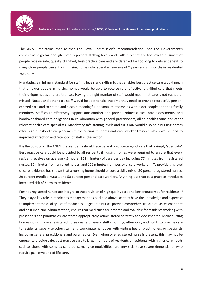

The ANMF maintains that neither the Royal Commission's recommendation, nor the Government's commitment go far enough. Both represent staffing levels and skills mix that are too low to ensure that people receive safe, quality, dignified, best-practice care and are deferred for too long to deliver benefit to many older people currently in nursing homes who spend an average of 2 years and six months in residential aged care.

Mandating a minimum standard for staffing levels and skills mix that enables best practice care would mean that all older people in nursing homes would be able to receive safe, effective, dignified care that meets their unique needs and preferences. Having the right number of staff would mean that care is not rushed or missed. Nurses and other care staff would be able to take the time they need to provide respectful, personcentred care and to create and sustain meaningful personal relationships with older people and their family members. Staff could effectively support one another and provide robust clinical care assessments, and handover shared care obligations in collaboration with general practitioners, allied health teams and other relevant health care specialists. Mandatory safe staffing levels and skills mix would also help nursing homes offer high quality clinical placements for nursing students and care worker trainees which would lead to improved attraction and retention of staff in the sector.

It is the position of the ANMF that residents should receive best practice care, not care that is simply 'adequate'. Best practice care could be provided to all residents if nursing homes were required to ensure that every resident receives on average 4.3 hours (258 minutes) of care per day including 77 minutes from registered nurses, 52 minutes from enrolled nurses, and 129 minutes from personal care workers.13 To provide this level of care, evidence has shown that a nursing home should ensure a skills mix of 30 percent registered nurses, 20 percent enrolled nurses, and 50 percent personal care workers. Anything less than best practice introduces increased risk of harm to residents.

Further, registered nurses are integral to the provision of high quality care and better outcomes for residents.<sup>14</sup> They play a key role in medicines management as outlined above, as they have the knowledge and expertise to implement the quality use of medicines. Registered nurses provide comprehensive clinical assessment pre and post medicine administration, ensure that medicines are ordered and available for residents working with prescribers and pharmacies, are stored appropriately, administered correctly and documented. Many nursing homes do not have a registered nurse onsite on every shift (morning, afternoon, and night) to provide care to residents, supervise other staff, and coordinate handover with visiting health practitioners or specialists including general practitioners and paramedics. Even when one registered nurse is present, this may not be enough to provide safe, best practice care to larger numbers of residents or residents with higher care needs such as those with complex conditions, many co-morbidities, are very sick, have severe dementia, or who require palliative end of life care.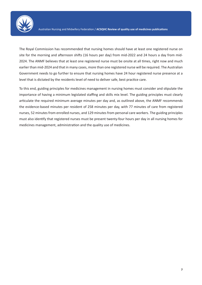

The Royal Commission has recommended that nursing homes should have at least one registered nurse on site for the morning and afternoon shifts (16 hours per day) from mid-2022 and 24 hours a day from mid-2024. The ANMF believes that at least one registered nurse must be onsite at all times, right now and much earlier than mid-2024 and that in many cases, more than one registered nurse will be required. The Australian Government needs to go further to ensure that nursing homes have 24 hour registered nurse presence at a level that is dictated by the residents level of need to deliver safe, best practice care.

To this end, guiding principles for medicines management in nursing homes must consider and stipulate the importance of having a minimum legislated staffing and skills mix level. The guiding principles must clearly articulate the required minimum average minutes per day and, as outlined above, the ANMF recommends the evidence-based minutes per resident of 258 minutes per day, with 77 minutes of care from registered nurses, 52 minutes from enrolled nurses, and 129 minutes from personal care workers. The guiding principles must also identify that registered nurses must be present twenty-four hours per day in all nursing homes for medicines management, administration and the quality use of medicines.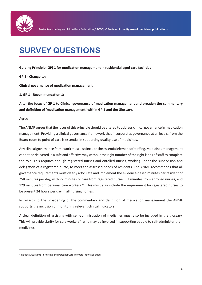

# **SURVEY QUESTIONS**

## **Guiding Principle (GP) 1 for medication management in residential aged care facilities**

**GP 1 - Change to:**

**Clinical governance of medication management** 

**1. GP 1 - Recommendation 1:** 

**Alter the focus of GP 1 to Clinical governance of medication management and broaden the commentary and definition of 'medication management' within GP 1 and the Glossary.**

Agree

The ANMF agrees that the focus of this principle should be altered to address clinical governance in medication management. Providing a clinical governance framework that incorporates governance at all levels, from the Board room to point of care is essential in supporting quality use of medicines.

Any clinical governance framework must also include the essential element of staffing. Medicines management cannot be delivered in a safe and effective way without the right number of the right kinds of staff to complete the role. This requires enough registered nurses and enrolled nurses, working under the supervision and delegation of a registered nurse, to meet the assessed needs of residents. The ANMF recommends that all governance requirements must clearly articulate and implement the evidence-based minutes per resident of 258 minutes per day, with 77 minutes of care from registered nurses, 52 minutes from enrolled nurses, and 129 minutes from personal care workers.<sup>15</sup> This must also include the requirement for registered nurses to be present 24 hours per day in all nursing homes.

In regards to the broadening of the commentary and definition of medication management the ANMF supports the inclusion of monitoring relevant clinical indicators.

A clear definition of assisting with self-administration of medicines must also be included in the glossary. This will provide clarity for care workers\* who may be involved in supporting people to self-administer their medicines.

<sup>\*</sup>Includes Assistants in Nursing and Personal Care Workers (however titled)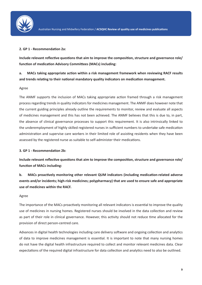

## **2. GP 1 - Recommendation 2a:**

**Include relevant reflective questions that aim to improve the composition, structure and governance role/ function of medication Advisory Committees (MACs) including:**

**a. MACs taking appropriate action within a risk management framework when reviewing RACF results and trends relating to their national mandatory quality indicators on medication management.**

## Agree

The ANMF supports the inclusion of MACs taking appropriate action framed through a risk management process regarding trends in quality indicators for medicines management. The ANMF does however note that the current guiding principles already outline the requirements to monitor, review and evaluate all aspects of medicines management and this has not been achieved. The ANMF believes that this is due to, in part, the absence of clinical governance processes to support this requirement. It is also intrinsically linked to the underemployment of highly skilled registered nurses in sufficient numbers to undertake safe medication administration and supervise care workers in their limited role of assisting residents when they have been assessed by the registered nurse as suitable to self-administer their medications.

## **3. GP 1 - Recommendation 2b:**

**Include relevant reflective questions that aim to improve the composition, structure and governance role/ function of MACs including:**

**b. MACs proactively monitoring other relevant QUM indicators (including medication-related adverse events and/or incidents; high-risk medicines; polypharmacy) that are used to ensure safe and appropriate use of medicines within the RACF.**

## Agree

The importance of the MACs proactively monitoring all relevant indicators is essential to improve the quality use of medicines in nursing homes. Registered nurses should be involved in the data collection and review as part of their role in clinical governance. However, this activity should not reduce time allocated for the provision of direct person-centred care.

Advances in digital health technologies including care delivery software and ongoing collection and analytics of data to improve medicines management is essential. It is important to note that many nursing homes do not have the digital health infrastructure required to collect and monitor relevant medicines data. Clear expectations of the required digital infrastructure for data collection and analytics need to also be outlined.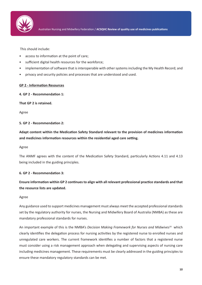

This should include:

- access to information at the point of care;
- sufficient digital health resources for the workforce;
- implementation of software that is interoperable with other systems including the My Health Record; and
- privacy and security policies and processes that are understood and used.

## **GP 2 - Information Resources**

**4. GP 2 - Recommendation 1:**

**That GP 2 is retained.**

Agree

## **5. GP 2 - Recommendation 2:**

**Adapt content within the Medication Safety Standard relevant to the provision of medicines information and medicines information resources within the residential aged care setting.**

Agree

The ANMF agrees with the content of the Medication Safety Standard, particularly Actions 4.11 and 4.13 being included in the guiding principles.

## **6. GP 2 - Recommendation 3:**

**Ensure information within GP 2 continues to align with all relevant professional practice standards and that the resource lists are updated.**

## Agree

Any guidance used to support medicines management must always meet the accepted professional standards set by the regulatory authority for nurses, the Nursing and Midwifery Board of Australia (NMBA) as these are mandatory professional standards for nurses.

An important example of this is the NMBA's *Decision Making Framework for Nurses and Midwives*16 which clearly identifies the delegation process for nursing activities by the registered nurse to enrolled nurses and unregulated care workers. The current framework identifies a number of factors that a registered nurse must consider using a risk management approach when delegating and supervising aspects of nursing care including medicines management. These requirements must be clearly addressed in the guiding principles to ensure these mandatory regulatory standards can be met.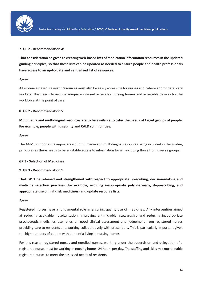

## **7. GP 2 - Recommendation 4:**

**That consideration be given to creating web-based lists of medication information resources in the updated guiding principles, so that these lists can be updated as needed to ensure people and health professionals have access to an up-to-date and centralised list of resources.**

## Agree

All evidence-based, relevant resources must also be easily accessible for nurses and, where appropriate, care workers. This needs to include adequate internet access for nursing homes and accessible devices for the workforce at the point of care.

## **8. GP 2 - Recommendation 5:**

**Multimedia and multi-lingual resources are to be available to cater the needs of target groups of people. For example, people with disability and CALD communities.**

## Agree

The ANMF supports the importance of multimedia and multi-lingual resources being included in the guiding principles as there needs to be equitable access to information for all, including those from diverse groups.

## **GP 3 - Selection of Medicines**

## **9. GP 3 - Recommendation 1:**

**That GP 3 be retained and strengthened with respect to appropriate prescribing, decision-making and medicine selection practices (for example, avoiding inappropriate polypharmacy; deprescribing; and appropriate use of high-risk medicines) and update resource lists.**

## Agree

Registered nurses have a fundamental role in ensuring quality use of medicines. Any intervention aimed at reducing avoidable hospitalisation, improving antimicrobial stewardship and reducing inappropriate psychotropic medicines use relies on good clinical assessment and judgement from registered nurses providing care to residents and working collaboratively with prescribers. This is particularly important given the high numbers of people with dementia living in nursing homes.

For this reason registered nurses and enrolled nurses, working under the supervision and delegation of a registered nurse, must be working in nursing homes 24 hours per day. The staffing and skills mix must enable registered nurses to meet the assessed needs of residents.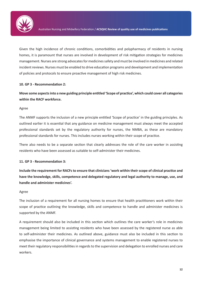

Given the high incidence of chronic conditions, comorbidities and polypharmacy of residents in nursing homes, it is paramount that nurses are involved in development of risk mitigation strategies for medicines management. Nurses are strong advocates for medicines safety and must be involved in medicines and related incident reviews. Nurses must be enabled to drive education programs and development and implementation of policies and protocols to ensure proactive management of high risk medicines.

## **10. GP 3 - Recommendation 2:**

## **Move some aspects into a new guiding principle entitled 'Scope of practice', which could cover all categories within the RACF workforce.**

## Agree

The ANMF supports the inclusion of a new principle entitled 'Scope of practice' in the guiding principles. As outlined earlier it is essential that any guidance on medicine management must always meet the accepted professional standards set by the regulatory authority for nurses, the NMBA, as these are mandatory professional standards for nurses. This includes nurses working within their scope of practice.

There also needs to be a separate section that clearly addresses the role of the care worker in assisting residents who have been assessed as suitable to self-administer their medicines.

## **11. GP 3 - Recommendation 3:**

**Include the requirement for RACFs to ensure that clinicians 'work within their scope of clinical practice and have the knowledge, skills, competence and delegated regulatory and legal authority to manage, use, and handle and administer medicines'.**

## Agree

The inclusion of a requirement for all nursing homes to ensure that health practitioners work within their scope of practice outlining the knowledge, skills and competence to handle and administer medicines is supported by the ANMF.

A requirement should also be included in this section which outlines the care worker's role in medicines management being limited to assisting residents who have been assessed by the registered nurse as able to self-administer their medicines. As outlined above, guidance must also be included in this section to emphasise the importance of clinical governance and systems management to enable registered nurses to meet their regulatory responsibilities in regards to the supervision and delegation to enrolled nurses and care workers.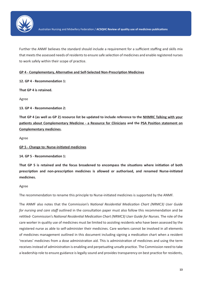

Further the ANMF believes the standard should include a requirement for a sufficient staffing and skills mix that meets the assessed needs of residents to ensure safe selection of medicines and enable registered nurses to work safely within their scope of practice.

**GP 4 - Complementary, Alternative and Self-Selected Non-Prescription Medicines**

**12. GP 4 - Recommendation 1:**

**That GP 4 is retained.**

Agree

**13. GP 4 - Recommendation 2:** 

**That GP 4 (as well as GP 2) resource list be updated to include reference to the NHMRC Talking with your patients about Complementary Medicine - a Resource for Clinicians and the PSA Position statement on Complementary medicines.**

Agree

**GP 5 - Change to: Nurse-initiated medicines**

**14. GP 5 - Recommendation 1:**

**That GP 5 is retained and the focus broadened to encompass the situations where initiation of both prescription and non-prescription medicines is allowed or authorised, and renamed Nurse-initiated medicines.**

Agree

The recommendation to rename this principle to Nurse-initiated medicines is supported by the ANMF.

The ANMF also notes that the Commission's *National Residential Medication Chart (NRMC3) User Guide for nursing and care staff* outlined in the consultation paper must also follow this recommendation and be retitled- Commission's *National Residential Medication Chart (NRMC3) User Guide for Nurses.* The role of the care worker in quality use of medicines must be limited to assisting residents who have been assessed by the registered nurse as able to self-administer their medicines. Care workers cannot be involved in all elements of medicines management outlined in this document including signing a medication chart when a resident 'receives' medicines from a dose administration aid. This is administration of medicines and using the term receives instead of administration is enabling and perpetuating unsafe practice. The Commission need to take a leadership role to ensure guidance is legally sound and provides transparency on best practice for residents,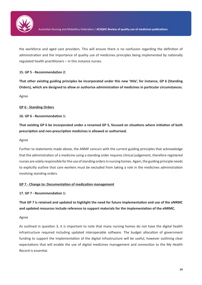

the workforce and aged care providers. This will ensure there is no confusion regarding the definition of administration and the importance of quality use of medicines principles being implemented by nationally regulated health practitioners – in this instance nurses.

## **15. GP 5 - Recommendation 2:**

**That other existing guiding principles be incorporated under this new 'title', for instance, GP 6 (Standing Orders), which are designed to allow or authorise administration of medicines in particular circumstances.**

Agree

## **GP 6 - Standing Orders**

## **16. GP 6 - Recommendation 1:**

**That existing GP 6 be incorporated under a renamed GP 5, focused on situations where initiation of both prescription and non-prescription medicines is allowed or authorised.**

## Agree

Further to statements made above, the ANMF concurs with the current guiding principles that acknowledge that the administration of a medicine using a standing order requires clinical judgement, therefore registered nurses are solely responsible for the use of standing orders in nursing homes. Again, the guiding principle needs to explicitly outline that care workers must be excluded from taking a role in the medicines administration involving standing orders.

## **GP 7 - Change to: Documentation of medication management**

## **17. GP 7 - Recommendation 1:**

**That GP 7 is retained and updated to highlight the need for future implementation and use of the eNRMC and updated resources include reference to support materials for the implementation of the eNRMC.**

## Agree

As outlined in question 3, it is important to note that many nursing homes do not have the digital health infrastructure required including updated interoperable software. The budget allocation of government funding to support the implementation of the digital infrastructure will be useful, however outlining clear expectations that will enable the use of digital medicines management and connection to the My Health Record is essential.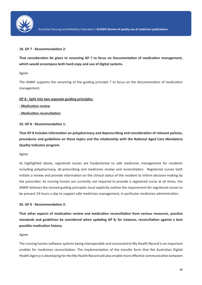

## **18. GP 7 - Recommendation 2:**

**That consideration be given to renaming GP 7 to focus on Documentation of medication management, which would encompass both hard-copy and use of digital systems.**

## Agree

The ANMF supports the renaming of the guiding principle 7 to focus on the documentation of medication management.

## **GP 8 - Split into two separate guiding principles:**

**- Medication review**

**- Medication reconciliation**

## **19. GP 8 - Recommendation 1:**

**That GP 8 includes information on polypharmacy and deprescribing and consideration of relevant policies, procedures and guidelines on these topics and the relationship with the National Aged Care Mandatory Quality Indicator program.**

## Agree

As highlighted above, registered nurses are fundamental to safe medicines management for residents including polypharmacy, de-prescribing and medicines review and reconciliation. Registered nurses both initiate a review and provide information on the clinical status of the resident to inform decision-making by the prescriber. As nursing homes are currently not required to provide a registered nurse at all times, the ANMF believes the revised guiding principles must explicitly outline the requirement for registered nurses to be present 24 hours a day to support safe medicines management, in particular medicines administration.

## **20. GP 8 - Recommendation 2:**

**That other aspects of medication review and medication reconciliation from various resources, practice standards and guidelines be considered when updating GP 8, for instance, reconciliation against a best possible medication history.**

## Agree

The nursing homes software systems being interoperable and connected to My Health Record is an important enabler for medicines reconciliation. The implementation of the transfer form that the Australian Digital Health Agency is developing for the My Health Record will also enable more effective communication between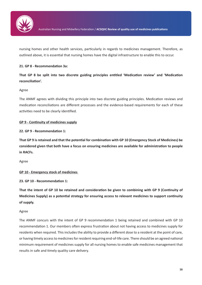

nursing homes and other health services, particularly in regards to medicines management. Therefore, as outlined above, it is essential that nursing homes have the digital infrastructure to enable this to occur.

## **21. GP 8 - Recommendation 3a:**

**That GP 8 be split into two discrete guiding principles entitled 'Medication review' and 'Medication reconciliation'.**

## Agree

The ANMF agrees with dividing this principle into two discrete guiding principles. Medication reviews and medication reconciliations are different processes and the evidence-based requirements for each of these activities need to be clearly identified.

## **GP 9 - Continuity of medicines supply**

**22. GP 9 - Recommendation 1:**

**That GP 9 is retained and that the potential for combination with GP 10 (Emergency Stock of Medicines) be considered given that both have a focus on ensuring medicines are available for administration to people in RACFs.**

Agree

## **GP 10 - Emergency stock of medicines**

**23. GP 10 - Recommendation 1:**

**That the intent of GP 10 be retained and consideration be given to combining with GP 9 (Continuity of Medicines Supply) as a potential strategy for ensuring access to relevant medicines to support continuity of supply.**

## Agree

The ANMF concurs with the intent of GP 9 recommendation 1 being retained and combined with GP 10 recommendation 1. Our members often express frustration about not having access to medicines supply for residents when required. This includes the ability to provide a different dose to a resident at the point of care, or having timely access to medicines for resident requiring end-of-life care. There should be an agreed national minimum requirement of medicines supply for all nursing homes to enable safe medicines management that results in safe and timely quality care delivery.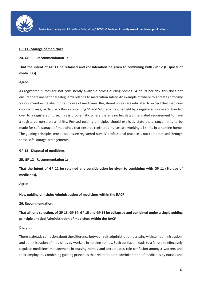

#### **GP 11 - Storage of medicines**

#### **24. GP 11 - Recommendation 1:**

**That the intent of GP 11 be retained and consideration be given to combining with GP 12 (Disposal of medicines).**

#### Agree

As registered nurses are not consistently available across nursing homes 24 hours per day, this does not ensure there are national safeguards relating to medication safety. An example of where this creates difficulty for our members relates to the storage of medicines. Registered nurses are educated to expect that medicine cupboard keys, particularly those containing S4 and S8 medicines, be held by a registered nurse and handed over to a registered nurse. This is problematic where there is no legislated mandated requirement to have a registered nurse on all shifts. Revised guiding principles should explicitly state the arrangements to be made for safe storage of medicines that ensures registered nurses are working all shifts in a nursing home. The guiding principles must also ensure registered nurses' professional practice is not compromised through these safe storage arrangements.

#### **GP 12 - Disposal of medicines**

#### **25. GP 12 - Recommendation 1:**

**That the intent of GP 12 be retained and consideration be given to combining with GP 11 (Storage of medicines).**

#### Agree

#### **New guiding principle: Administration of medicines within the RACF**

#### **26. Recommendation:**

**That all, or a selection, of GP 13, GP 14, GP 15 and GP 16 be collapsed and combined under a single guiding principle entitled Administration of medicines within the RACF.**

#### Disagree

There is already confusion about the difference between self-administration, assisting with self-administration, and administration of medicines by workers in nursing homes. Such confusion leads to a failure to effectively regulate medicines management in nursing homes and perpetuates role-confusion amongst workers and their employers. Combining guiding principles that relate to both administration of medicines by nurses and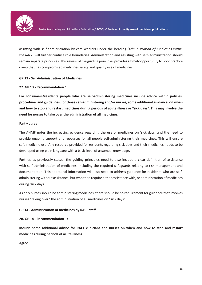

assisting with self-administration by care workers under the heading '*Administration of medicines within the RACF*' will further confuse role boundaries. Administration and assisting with self- administration should remain separate principles. This review of the guiding principles provides a timely opportunity to poor practice creep that has compromised medicines safety and quality use of medicines.

## **GP 13 - Self-Administration of Medicines**

## **27. GP 13 - Recommendation 1:**

**For consumers/residents people who are self-administering medicines include advice within policies, procedures and guidelines, for those self-administering and/or nurses, some additional guidance, on when and how to stop and restart medicines during periods of acute illness or "sick days". This may involve the need for nurses to take over the administration of all medicines.**

## Partly agree

The ANMF notes the increasing evidence regarding the use of medicines on 'sick days' and the need to provide ongoing support and resources for all people self-administering their medicines. This will ensure safe medicine use. Any resource provided for residents regarding sick days and their medicines needs to be developed using plain language with a basic level of assumed knowledge.

Further, as previously stated, the guiding principles need to also include a clear definition of assistance with self-administration of medicines, including the required safeguards relating to risk management and documentation. This additional information will also need to address guidance for residents who are selfadministering without assistance, but who then require either assistance with, or administration of medicines during 'sick days'.

As only nurses should be administering medicines, there should be no requirement for guidance that involves nurses "taking over" the administration of all medicines on "sick days".

## **GP 14 - Administration of medicines by RACF staff**

**28. GP 14 - Recommendation 1:**

**Include some additional advice for RACF clinicians and nurses on when and how to stop and restart medicines during periods of acute illness.**

Agree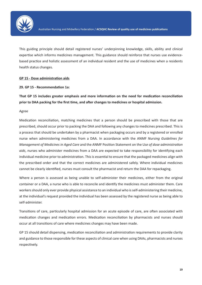

This guiding principle should detail registered nurses' underpinning knowledge, skills, ability and clinical expertise which informs medicines management. This guidance should reinforce that nurses use evidencebased practice and holistic assessment of an individual resident and the use of medicines when a residents health status changes.

## **GP 15 - Dose administration aids**

## **29. GP 15 - Recommendation 1a:**

**That GP 15 includes greater emphasis and more information on the need for medication reconciliation prior to DAA packing for the first time, and after changes to medicines or hospital admission.**

## Agree

Medication reconciliation, matching medicines that a person should be prescribed with those that are prescribed, should occur prior to packing the DAA and following any changes to medicines prescribed. This is a process that should be undertaken by a pharmacist when packaging occurs and by a registered or enrolled nurse when administering medicines from a DAA. In accordance with the ANMF *Nursing Guidelines for Management of Medicines in Aged Care* and the ANMF Position Statement on the U*se of dose administration aids*, nurses who administer medicines from a DAA are expected to take responsibility for identifying each individual medicine prior to administration. This is essential to ensure that the packaged medicines align with the prescribed order and that the correct medicines are administered safely. Where individual medicines cannot be clearly identified, nurses must consult the pharmacist and return the DAA for repackaging.

Where a person is assessed as being unable to self-administer their medicines, either from the original container or a DAA, a nurse who is able to reconcile and identify the medicines must administer them. Care workers should only ever provide physical assistance to an individual who is self-administering their medicine, at the individual's request provided the individual has been assessed by the registered nurse as being able to self-administer.

Transitions of care, particularly hospital admission for an acute episode of care, are often associated with medication changes and medication errors. Medication reconciliation by pharmacists and nurses should occur at all transitions of care where medicines changes may have been made.

GP 15 should detail dispensing, medication reconciliation and administration requirements to provide clarity and guidance to those responsible for these aspects of clinical care when using DAAs, pharmacists and nurses respectively.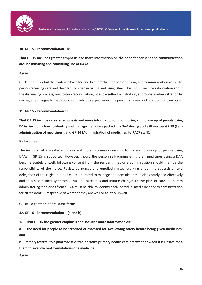

## **30. GP 15 - Recommendation 1b:**

**That GP 15 includes greater emphasis and more information on the need for consent and communication around initiating and continuing use of DAAs.**

## Agree

GP 15 should detail the evidence base for and best practice for consent from, and communication with, the person receiving care and their family when initiating and using DAAs. This should include information about the dispensing process, medication reconciliation, possible self-administration, appropriate administration by nurses, any changes to medications and what to expect when the person is unwell or transitions of care occur.

## **31. GP 15 - Recommendation 1c:**

**That GP 15 includes greater emphasis and more information on monitoring and follow up of people using DAAs, including how to identify and manage medicines packed in a DAA during acute illness per GP 13 (Selfadministration of medicines); and GP 14 (Administration of medicines by RACF staff).**

#### Partly agree

The inclusion of a greater emphasis and more information on monitoring and follow up of people using DAAs in GP 15 is supported. However, should the person self-administering their medicines using a DAA become acutely unwell, following consent from the resident, medicine administration should then be the responsibility of the nurse. Registered nurses and enrolled nurses, working under the supervision and delegation of the registered nurse, are educated to manage and administer medicines safely and effectively and to assess clinical symptoms, evaluate outcomes and initiate changes to the plan of care. All nurses administering medicines from a DAA must be able to identify each individual medicine prior to administration for all residents, irrespective of whether they are well or acutely unwell.

## **GP 16 - Alteration of oral dose forms**

## **32. GP 16 - Recommendation 1 (a and b):**

**1. That GP 16 has greater emphasis and includes more information on:**

**a. the need for people to be screened or assessed for swallowing safety before being given medicines, and**

**b. timely referral to a pharmacist or the person's primary health care practitioner when it is unsafe for a them to swallow oral formulations of a medicine.**

Agree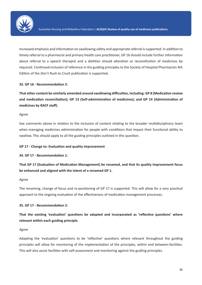

Increased emphasis and information on swallowing safety and appropriate referral is supported. In addition to timely referral to a pharmacist and primary health care practitioner, GP 16 should include further information about referral to a speech therapist and a dietitian should alteration or reconstitution of medicines be required. Continued inclusion of reference in the guiding principles to the Society of Hospital Pharmacists 4th Edition of the *Don't Rush to Crush* publication is supported.

## **33. GP 16 - Recommendation 2:**

**That other content be similarly amended around swallowing difficulties, including: GP 8 (Medication review and medication reconciliation); GP 13 (Self-administration of medicines); and GP 14 (Administration of medicines by RACF staff).**

## Agree

See comments above in relation to the inclusion of content relating to the broader multidisciplinary team when managing medicines administration for people with conditions that impact their functional ability to swallow. This should apply to all the guiding principles outlined in this question.

## **GP 17 - Change to: Evaluation and quality improvement**

## **34. GP 17 - Recommendation 1:**

**That GP 17 (Evaluation of Medication Management) be renamed, and that its quality improvement focus be enhanced and aligned with the intent of a renamed GP 1.**

## Agree

The renaming, change of focus and re-positioning of GP 17 is supported. This will allow for a very practical approach to the ongoing evaluation of the effectiveness of medication management processes.

## **35. GP 17 - Recommendation 2:**

**That the existing 'evaluation' questions be adapted and incorporated as 'reflective questions' where relevant within each guiding principle.**

## Agree

Adapting the 'evaluation' questions to be 'reflective' questions where relevant throughout the guiding principles will allow for monitoring of the implementation of the principles, within and between-facilities. This will also assist facilities with self-assessment and monitoring against the guiding principles.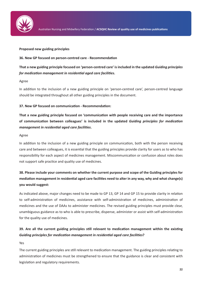

## **Proposed new guiding principles**

## **36. New GP focused on person-centred care - Recommendation**

**That a new guiding principle focused on 'person-centred care' is included in the updated** *Guiding principles for medication management in residential aged care facilities***.**

## Agree

In addition to the inclusion of a new guiding principle on 'person-centred care', person-centred language should be integrated throughout all other guiding principles in the document.

## **37. New GP focused on communication - Recommendation:**

**That a new guiding principle focused on 'communication with people receiving care and the importance of communication between colleagues' is included in the updated** *Guiding principles for medication management in residential aged care facilities***.**

## Agree

In addition to the inclusion of a new guiding principle on communication, both with the person receiving care and between colleagues, it is essential that the guiding principles provide clarity for users as to who has responsibility for each aspect of medicines management. Miscommunication or confusion about roles does not support safe practice and quality use of medicines.

# **38. Please include your comments on whether the current purpose and scope of the Guiding principles for mediation management in residential aged care facilities need to alter in any way, why and what change(s) you would suggest:**

As indicated above, major changes need to be made to GP 13, GP 14 and GP 15 to provide clarity in relation to self-administration of medicines, assistance with self-administration of medicines, administration of medicines and the use of DAAs to administer medicines. The revised guiding principles must provide clear, unambiguous guidance as to who is able to prescribe, dispense, administer or assist with self-administration for the quality use of medicines.

## **39. Are all the current guiding principles still relevant to medication management within the existing**  *Guiding principles for medication management in residential aged care facilities***?**

#### Yes

The current guiding principles are still relevant to medication management. The guiding principles relating to administration of medicines must be strengthened to ensure that the guidance is clear and consistent with legislation and regulatory requirements.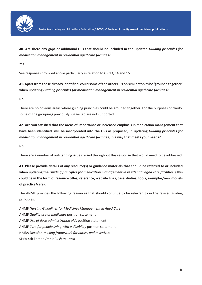

## **40. Are there any gaps or additional GPs that should be included in the updated** *Guiding principles for medication management in residential aged care facilities***?**

Yes

See responses provided above particularly in relation to GP 13, 14 and 15.

# **41. Apart from those already identified, could some of the other GPs on similar topics be 'grouped together' when updating** *Guiding principles for medication management in residential aged care facilities***?**

No

There are no obvious areas where guiding principles could be grouped together. For the purposes of clarity, some of the groupings previously suggested are not supported.

**42. Are you satisfied that the areas of importance or increased emphasis in medication management that have been identified, will be incorporated into the GPs as proposed, in updating** *Guiding principles for medication management in residential aged care facilities***, in a way that meets your needs?**

No

There are a number of outstanding issues raised throughout this response that would need to be addressed.

**43. Please provide details of any resource(s) or guidance materials that should be referred to or included when updating the G***uiding principles for medication management in residential aged care facilities***. (This could be in the form of resource titles; reference; website links; case studies; tools; exemplar/new models of practice/care).**

The ANMF provides the following resources that should continue to be referred to in the revised guiding principles:

ANMF *Nursing Guidelines for Medicines Management in Aged Care* ANMF *Quality use of medicines* position statement ANMF *Use of dose administration aids* position statement ANMF *Care for people living with a disability* position statement NMBA D*ecision-making framework for nurses and midwives* SHPA 4th Edition *Don't Rush to Crush*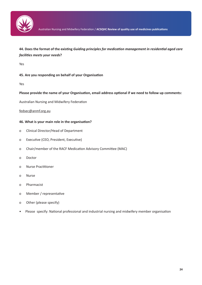

## **44. Does the format of the existing** *Guiding principles for medication management in residential aged care facilities meets your needs***?**

Yes

## **45. Are you responding on behalf of your Organisation**

Yes

## **Please provide the name of your Organisation, email address optional if we need to follow up comments:**

Australian Nursing and Midwifery Federation

## fedsec@anmf.org.au

## **46. What is your main role in the organisation?**

- o Clinical Director/Head of Department
- o Executive (CEO, President, Executive)
- o Chair/member of the RACF Medication Advisory Committee (MAC)
- o Doctor
- o Nurse Practitioner
- o Nurse
- o Pharmacist
- o Member / representative
- o Other (please specify)
- Please specify: National professional and industrial nursing and midwifery member organisation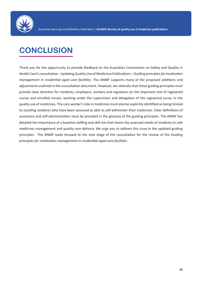

# **CONCLUSION**

Thank you for the opportunity to provide feedback on the Australian Commission on Safety and Quality in Health Care's consultation - Updating Quality Use of Medicines Publications – *Guiding principles for medication management in residential aged care facilities*. The ANMF supports many of the proposed additions and adjustments outlined in the consultation document. However, we reiterate that these guiding principles must provide clear direction for residents, employers, workers and regulators on the important role of registered nurses and enrolled nurses, working under the supervision and delegation of the registered nurse, in the quality use of medicines. The care worker's role in medicines must also be explicitly identified as being limited to assisting residents who have been assessed as able to self-administer their medicines. Clear definitions of assistance and self-administration must be provided in the glossary of the guiding principles. The ANMF has detailed the importance of a baseline staffing and skill mix that meets the assessed needs of residents to safe medicines management and quality care delivery. We urge you to address this issue in the updated guiding principles. The ANMF looks forward to the next stage of the consultation for the review of the *Guiding principles for medication management in residential aged care facilities*.